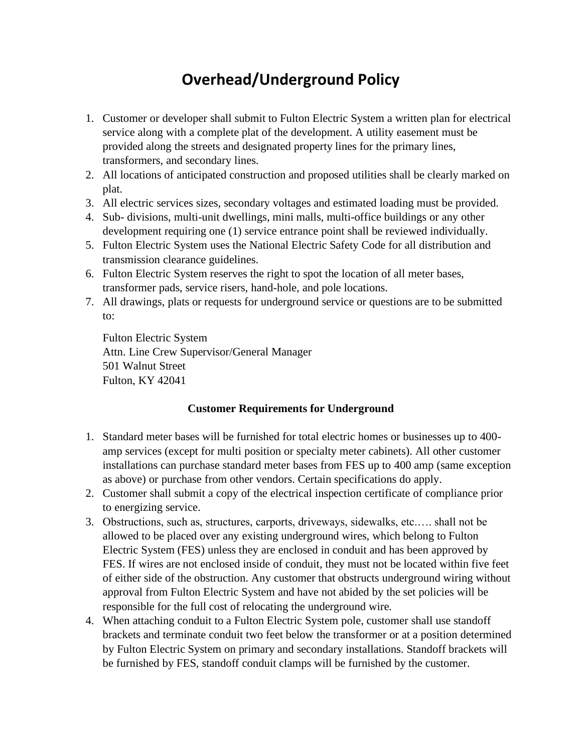# **Overhead/Underground Policy**

- 1. Customer or developer shall submit to Fulton Electric System a written plan for electrical service along with a complete plat of the development. A utility easement must be provided along the streets and designated property lines for the primary lines, transformers, and secondary lines.
- 2. All locations of anticipated construction and proposed utilities shall be clearly marked on plat.
- 3. All electric services sizes, secondary voltages and estimated loading must be provided.
- 4. Sub- divisions, multi-unit dwellings, mini malls, multi-office buildings or any other development requiring one (1) service entrance point shall be reviewed individually.
- 5. Fulton Electric System uses the National Electric Safety Code for all distribution and transmission clearance guidelines.
- 6. Fulton Electric System reserves the right to spot the location of all meter bases, transformer pads, service risers, hand-hole, and pole locations.
- 7. All drawings, plats or requests for underground service or questions are to be submitted to:

Fulton Electric System Attn. Line Crew Supervisor/General Manager 501 Walnut Street Fulton, KY 42041

#### **Customer Requirements for Underground**

- 1. Standard meter bases will be furnished for total electric homes or businesses up to 400 amp services (except for multi position or specialty meter cabinets). All other customer installations can purchase standard meter bases from FES up to 400 amp (same exception as above) or purchase from other vendors. Certain specifications do apply.
- 2. Customer shall submit a copy of the electrical inspection certificate of compliance prior to energizing service.
- 3. Obstructions, such as, structures, carports, driveways, sidewalks, etc.…. shall not be allowed to be placed over any existing underground wires, which belong to Fulton Electric System (FES) unless they are enclosed in conduit and has been approved by FES. If wires are not enclosed inside of conduit, they must not be located within five feet of either side of the obstruction. Any customer that obstructs underground wiring without approval from Fulton Electric System and have not abided by the set policies will be responsible for the full cost of relocating the underground wire.
- 4. When attaching conduit to a Fulton Electric System pole, customer shall use standoff brackets and terminate conduit two feet below the transformer or at a position determined by Fulton Electric System on primary and secondary installations. Standoff brackets will be furnished by FES, standoff conduit clamps will be furnished by the customer.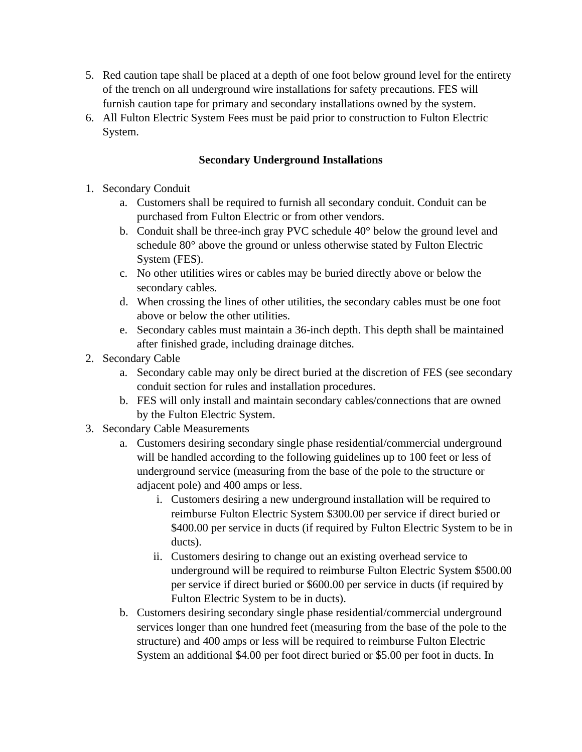- 5. Red caution tape shall be placed at a depth of one foot below ground level for the entirety of the trench on all underground wire installations for safety precautions. FES will furnish caution tape for primary and secondary installations owned by the system.
- 6. All Fulton Electric System Fees must be paid prior to construction to Fulton Electric System.

### **Secondary Underground Installations**

- 1. Secondary Conduit
	- a. Customers shall be required to furnish all secondary conduit. Conduit can be purchased from Fulton Electric or from other vendors.
	- b. Conduit shall be three-inch gray PVC schedule 40° below the ground level and schedule 80° above the ground or unless otherwise stated by Fulton Electric System (FES).
	- c. No other utilities wires or cables may be buried directly above or below the secondary cables.
	- d. When crossing the lines of other utilities, the secondary cables must be one foot above or below the other utilities.
	- e. Secondary cables must maintain a 36-inch depth. This depth shall be maintained after finished grade, including drainage ditches.
- 2. Secondary Cable
	- a. Secondary cable may only be direct buried at the discretion of FES (see secondary conduit section for rules and installation procedures.
	- b. FES will only install and maintain secondary cables/connections that are owned by the Fulton Electric System.
- 3. Secondary Cable Measurements
	- a. Customers desiring secondary single phase residential/commercial underground will be handled according to the following guidelines up to 100 feet or less of underground service (measuring from the base of the pole to the structure or adjacent pole) and 400 amps or less.
		- i. Customers desiring a new underground installation will be required to reimburse Fulton Electric System \$300.00 per service if direct buried or \$400.00 per service in ducts (if required by Fulton Electric System to be in ducts).
		- ii. Customers desiring to change out an existing overhead service to underground will be required to reimburse Fulton Electric System \$500.00 per service if direct buried or \$600.00 per service in ducts (if required by Fulton Electric System to be in ducts).
	- b. Customers desiring secondary single phase residential/commercial underground services longer than one hundred feet (measuring from the base of the pole to the structure) and 400 amps or less will be required to reimburse Fulton Electric System an additional \$4.00 per foot direct buried or \$5.00 per foot in ducts. In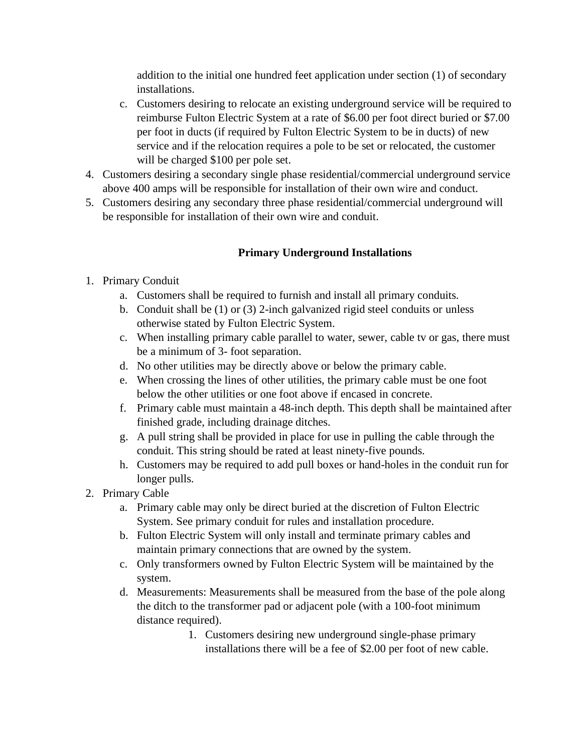addition to the initial one hundred feet application under section (1) of secondary installations.

- c. Customers desiring to relocate an existing underground service will be required to reimburse Fulton Electric System at a rate of \$6.00 per foot direct buried or \$7.00 per foot in ducts (if required by Fulton Electric System to be in ducts) of new service and if the relocation requires a pole to be set or relocated, the customer will be charged \$100 per pole set.
- 4. Customers desiring a secondary single phase residential/commercial underground service above 400 amps will be responsible for installation of their own wire and conduct.
- 5. Customers desiring any secondary three phase residential/commercial underground will be responsible for installation of their own wire and conduit.

## **Primary Underground Installations**

- 1. Primary Conduit
	- a. Customers shall be required to furnish and install all primary conduits.
	- b. Conduit shall be (1) or (3) 2-inch galvanized rigid steel conduits or unless otherwise stated by Fulton Electric System.
	- c. When installing primary cable parallel to water, sewer, cable tv or gas, there must be a minimum of 3- foot separation.
	- d. No other utilities may be directly above or below the primary cable.
	- e. When crossing the lines of other utilities, the primary cable must be one foot below the other utilities or one foot above if encased in concrete.
	- f. Primary cable must maintain a 48-inch depth. This depth shall be maintained after finished grade, including drainage ditches.
	- g. A pull string shall be provided in place for use in pulling the cable through the conduit. This string should be rated at least ninety-five pounds.
	- h. Customers may be required to add pull boxes or hand-holes in the conduit run for longer pulls.
- 2. Primary Cable
	- a. Primary cable may only be direct buried at the discretion of Fulton Electric System. See primary conduit for rules and installation procedure.
	- b. Fulton Electric System will only install and terminate primary cables and maintain primary connections that are owned by the system.
	- c. Only transformers owned by Fulton Electric System will be maintained by the system.
	- d. Measurements: Measurements shall be measured from the base of the pole along the ditch to the transformer pad or adjacent pole (with a 100-foot minimum distance required).
		- 1. Customers desiring new underground single-phase primary installations there will be a fee of \$2.00 per foot of new cable.